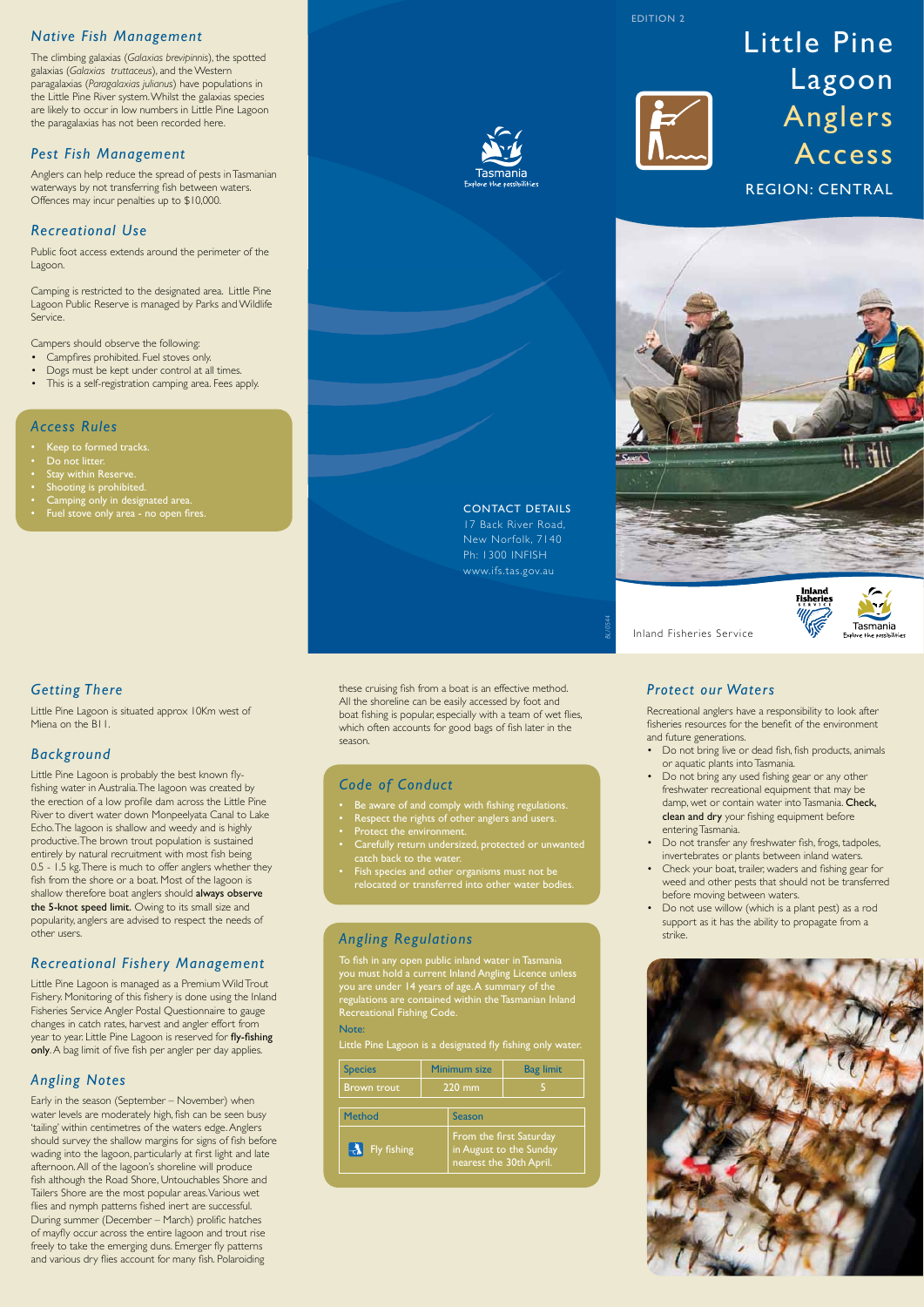#### CONTACT DETAILS 17 Back River Road,

New Norfolk, 7140 Ph: 1300 INFISH www.ifs.tas.gov.au

*Getting There*

Little Pine Lagoon is situated approx 10Km west of Miena on the B11.

# *Background*

Fishery. Monitoring of this fishery is done using the Inland Fisheries Service Angler Postal Questionnaire to gauge changes in catch rates, harvest and angler effort from year to year. Little Pine Lagoon is reserved for fly-fishing only. A bag limit of five fish per angler per day applies.

Little Pine Lagoon is probably the best known flyfishing water in Australia. The lagoon was created by the erection of a low profile dam across the Little Pine River to divert water down Monpeelyata Canal to Lake Echo. The lagoon is shallow and weedy and is highly productive. The brown trout population is sustained entirely by natural recruitment with most fish being 0.5 - 1.5 kg. There is much to offer anglers whether they fish from the shore or a boat. Most of the lagoon is shallow therefore boat anglers should always observe the 5-knot speed limit. Owing to its small size and popularity, anglers are advised to respect the needs of other users.

# *Recreational Fishery Management*

Little Pine Lagoon is managed as a Premium Wild Trout

#### *Angling Notes*

- Be aware of and comply with fishing regulations.
- Respect the rights of other anglers and users.
- Protect the environment.
- Carefully return undersized, protected or unwanted catch back to the water.
- Fish species and other organisms must not be relocated or transferred into other water bodies.

Early in the season (September – November) when water levels are moderately high, fish can be seen busy 'tailing' within centimetres of the waters edge. Anglers should survey the shallow margins for signs of fish before wading into the lagoon, particularly at first light and late afternoon. All of the lagoon's shoreline will produce fish although the Road Shore, Untouchables Shore and Tailers Shore are the most popular areas. Various wet flies and nymph patterns fished inert are successful. During summer (December – March) prolific hatches of mayfly occur across the entire lagoon and trout rise freely to take the emerging duns. Emerger fly patterns and various dry flies account for many fish. Polaroiding

these cruising fish from a boat is an effective method. All the shoreline can be easily accessed by foot and boat fishing is popular, especially with a team of wet flies, which often accounts for good bags of fish later in the season.

# *Code of Conduct*

#### *Angling Regulations*

To fish in any open public inland water in Tasmania you must hold a current Inland Angling Licence unless you are under 14 years of age. A summary of the

regulations are contained within the Tasmanian Inland Recreational Fishing Code.

#### Note:

Little Pine Lagoon is a designated fly fishing only water.

#### *Protect our Waters*

Recreational anglers have a responsibility to look after fisheries resources for the benefit of the environment and future generations.

- Do not bring live or dead fish, fish products, animals or aquatic plants into Tasmania.
- Do not bring any used fishing gear or any other freshwater recreational equipment that may be damp, wet or contain water into Tasmania. Check, clean and dry your fishing equipment before entering Tasmania.
- Do not transfer any freshwater fish, frogs, tadpoles, invertebrates or plants between inland waters.
- Check your boat, trailer, waders and fishing gear for weed and other pests that should not be transferred before moving between waters.
- Do not use willow (which is a plant pest) as a rod support as it has the ability to propagate from a strike.



## *Native Fish Management*

The climbing galaxias (*Galaxias brevipinnis*), the spotted galaxias (*Galaxias truttaceus*), and the Western paragalaxias (*Paragalaxias julianus*) have populations in the Little Pine River system. Whilst the galaxias species are likely to occur in low numbers in Little Pine Lagoon the paragalaxias has not been recorded here.

#### *Pest Fish Management*

Anglers can help reduce the spread of pests in Tasmanian waterways by not transferring fish between waters. Offences may incur penalties up to \$10,000.

### *Recreational Use*

Public foot access extends around the perimeter of the Lagoon.

Camping is restricted to the designated area. Little Pine Lagoon Public Reserve is managed by Parks and Wildlife Service.

Campers should observe the following:

- Campfires prohibited. Fuel stoves only.
- Dogs must be kept under control at all times.
- This is a self-registration camping area. Fees apply.

#### *Access Rules*

- Keep to formed tracks.
- Do not litter.
- Stay within Reserve.
- Shooting is prohibited.
- Camping only in designated area.
- Fuel stove only area no open fires.



# Little Pine Lagoon Anglers Access REGION: CENTRAL



Inland Fisheries Service



*BL10544*

EDITION 2



| <b>Species</b>     | Minimum size |                                                                               | <b>Bag limit</b> |
|--------------------|--------------|-------------------------------------------------------------------------------|------------------|
| <b>Brown trout</b> | 220 mm       |                                                                               |                  |
| <b>Method</b>      |              | Season                                                                        |                  |
| Fly fishing        |              | From the first Saturday<br>in August to the Sunday<br>nearest the 30th April. |                  |